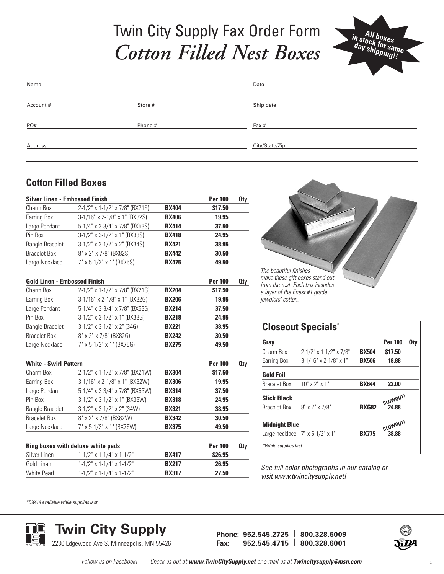## Twin City Supply Fax Order Form *Cotton Filled Nest Boxes*



| Name      |         | Date           |
|-----------|---------|----------------|
|           |         |                |
| Account # | Store # | Ship date      |
|           |         |                |
| PO#       | Phone # | Fax #          |
|           |         |                |
| Address   |         | City/State/Zip |
|           |         |                |

### **Cotton Filled Boxes**

| <b>Silver Linen - Embossed Finish</b> |                                     |              | <b>Per 100</b> | <b>Qty</b> |                                |                                                                                   |
|---------------------------------------|-------------------------------------|--------------|----------------|------------|--------------------------------|-----------------------------------------------------------------------------------|
| Charm Box                             | 2-1/2" x 1-1/2" x 7/8" (BX21S)      | <b>BX404</b> | \$17.50        |            |                                |                                                                                   |
| <b>Earring Box</b>                    | 3-1/16" x 2-1/8" x 1" (BX32S)       | <b>BX406</b> | 19.95          |            |                                |                                                                                   |
| Large Pendant                         | 5-1/4" x 3-3/4" x 7/8" (BX53S)      | <b>BX414</b> | 37.50          |            |                                |                                                                                   |
| Pin Box                               | $3-1/2$ " x $3-1/2$ " x 1" (BX33S)  | <b>BX418</b> | 24.95          |            |                                |                                                                                   |
| <b>Bangle Bracelet</b>                | 3-1/2" x 3-1/2" x 2" (BX34S)        | <b>BX421</b> | 38.95          |            |                                |                                                                                   |
| <b>Bracelet Box</b>                   | 8" x 2" x 7/8" (BX82S)              | <b>BX442</b> | 30.50          |            |                                |                                                                                   |
| Large Necklace                        | 7" x 5-1/2" x 1" (BX75S)            | <b>BX475</b> | 49.50          |            |                                |                                                                                   |
|                                       |                                     |              |                |            | The beautiful finishes         |                                                                                   |
| <b>Gold Linen - Embossed Finish</b>   |                                     |              | <b>Per 100</b> | <b>Qty</b> |                                | make these gift boxes stand out                                                   |
| Charm Box                             | 2-1/2" x 1-1/2" x 7/8" (BX21G)      | <b>BX204</b> | \$17.50        |            | a layer of the finest #1 grade | from the rest. Each box includes                                                  |
| Earring Box                           | 3-1/16" x 2-1/8" x 1" (BX32G)       | <b>BX206</b> | 19.95          |            | jewelers' cotton.              |                                                                                   |
| Large Pendant                         | 5-1/4" x 3-3/4" x 7/8" (BX53G)      | <b>BX214</b> | 37.50          |            |                                |                                                                                   |
| Pin Box                               | $3-1/2$ " x $3-1/2$ " x 1" (BX33G)  | <b>BX218</b> | 24.95          |            |                                |                                                                                   |
| <b>Bangle Bracelet</b>                | $3-1/2$ " x $3-1/2$ " x $2$ " (34G) | <b>BX221</b> | 38.95          |            |                                | <b>Closeout Specials</b>                                                          |
| <b>Bracelet Box</b>                   | 8" x 2" x 7/8" (BX82G)              | <b>BX242</b> | 30.50          |            |                                |                                                                                   |
| Large Necklace                        | 7" x 5-1/2" x 1" (BX75G)            | <b>BX275</b> | 49.50          |            | Gray                           |                                                                                   |
|                                       |                                     |              |                |            | Charm Box                      | $2 - 1/2" \times 1 - 1/2"$                                                        |
| <b>White - Swirl Pattern</b>          |                                     |              | <b>Per 100</b> | <b>Qty</b> | <b>Earring Box</b>             | $3-1/16"$ x 2-1/8                                                                 |
| Charm Box                             | 2-1/2" x 1-1/2" x 7/8" (BX21W)      | <b>BX304</b> | \$17.50        |            | <b>Gold Foil</b>               |                                                                                   |
| Earring Box                           | 3-1/16" x 2-1/8" x 1" (BX32W)       | <b>BX306</b> | 19.95          |            | <b>Bracelet Box</b>            | $10" \times 2" \times 1"$                                                         |
| Large Pendant                         | 5-1/4" x 3-3/4" x 7/8" (BX53W)      | <b>BX314</b> | 37.50          |            |                                |                                                                                   |
| Pin Box                               | 3-1/2" x 3-1/2" x 1" (BX33W)        | <b>BX318</b> | 24.95          |            | <b>Slick Black</b>             |                                                                                   |
| <b>Bangle Bracelet</b>                | $3-1/2$ " x $3-1/2$ " x $2$ " (34W) | <b>BX321</b> | 38.95          |            | <b>Bracelet Box</b>            | 8" x 2" x 7/8"                                                                    |
| <b>Bracelet Box</b>                   | 8" x 2" x 7/8" (BX82W)              | <b>BX342</b> | 30.50          |            |                                |                                                                                   |
| Large Necklace                        | 7" x 5-1/2" x 1" (BX75W)            | <b>BX375</b> | 49.50          |            | <b>Midnight Blue</b>           |                                                                                   |
|                                       |                                     |              |                |            |                                | Large necklace 7" x 5-1/2" x 1"                                                   |
|                                       | Ring boxes with deluxe white pads   |              | <b>Per 100</b> | <b>Qty</b> | *While supplies last           |                                                                                   |
| Silver Linen                          | $1-1/2$ " x $1-1/4$ " x $1-1/2$ "   | <b>BX417</b> | <b>\$26.95</b> |            |                                |                                                                                   |
| Gold Linen                            | $1-1/2$ " x $1-1/4$ " x $1-1/2$ "   | <b>BX217</b> | 26.95          |            |                                |                                                                                   |
| <b>White Pearl</b>                    | $1-1/2$ " x $1-1/4$ " x $1-1/2$ "   | <b>BX317</b> | 27.50          |            |                                | See full color photograph<br>الموالي والمتحدث والمتحدث والمتحدث والمتحدث والمتحدث |

*\*BX419 available while supplies last*



**Twin City Supply Phone: 952.545.2725 <sup>|</sup> 800.328.6009** 2230 Edgewood Ave S, Minneapolis, MN 55426

*See full color photographs in our catalog or*

**Gray Per 100 Qty** Charm Box 2-1/2" x 1-1/2" x 7/8" **BX504 \$17.50** Earring Box 3-1/16" x 2-1/8" x 1" **BX506 18.88**

Bracelet Box 10" x 2" x 1" **BX644 22.00**

Bracelet Box 8" x 2" x 7/8" **BXG82 24.88**

Large necklace 7" x 5-1/2" x 1" **BX775 38.88**

*visit www.twincitysupply.net!*



**LOWOUT!** 

**BLOWOUT!**

**Fax: 952.545.4715 | 800.328.6001**